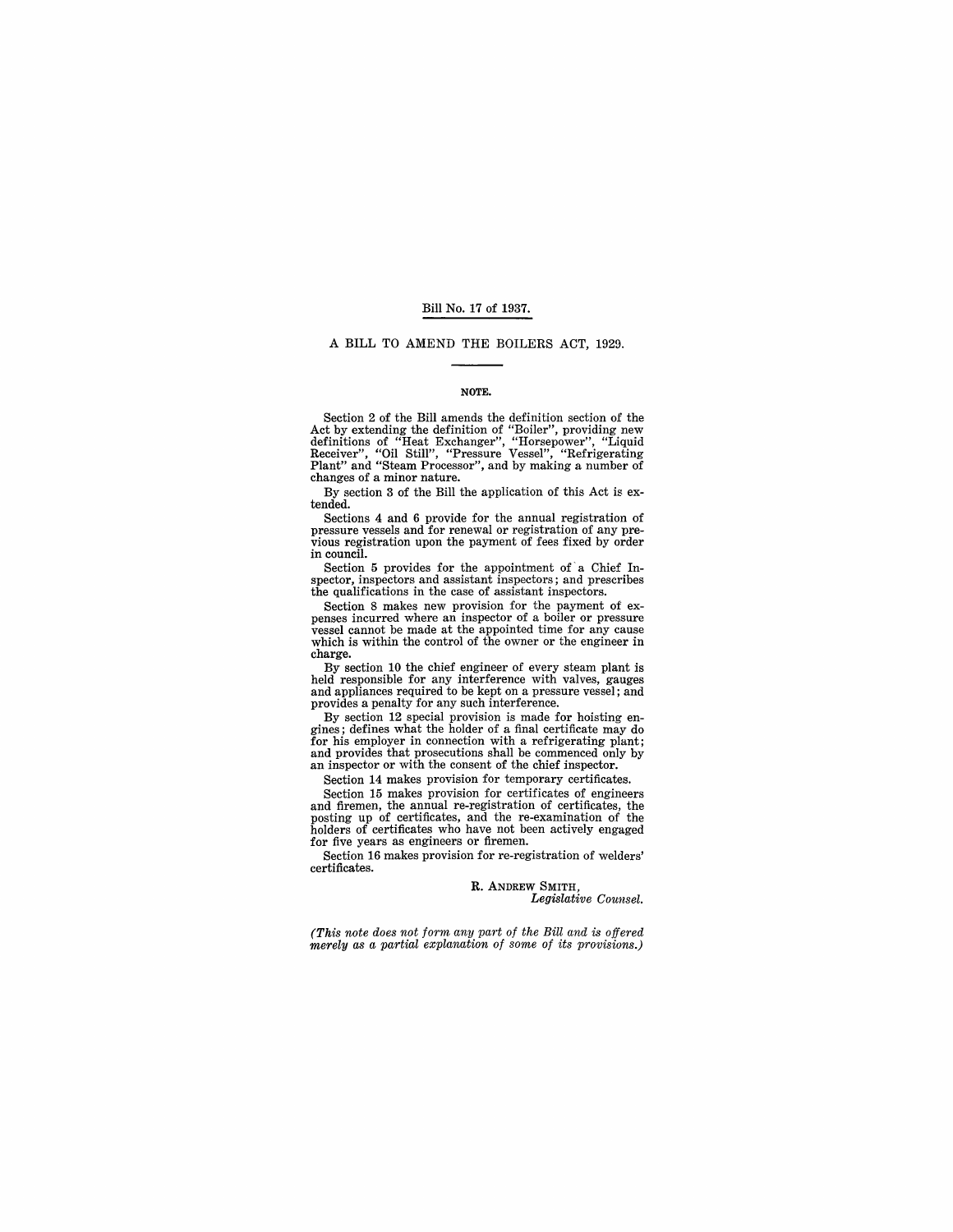#### Bill No. 17 of 1937.

#### A BILL TO AMEND THE BOILERS ACT, 1929.

#### NOTE.

Section 2 of the Bill amends the definition section of the Act by extending the definition of "Boiler", providing new definitions of "Heat Exchanger", "Horsepower", "Liquid Receiver", "Liquid Receiver", "Liquid Receiver", changes of a minor nature.

By section 3 of the Bill the application of this Act is extended.

Sections 4 and 6 provide for the annual registration of pressure vessels and for renewal or registration of any previous registration upon the payment of fees fixed by order in council.

Section 5 provides for the appointment of a Chief Inspector, inspectors and assistant inspectors; and prescribes the qualifications in the case of assistant inspectors.<br>Section 8 makes new provision for the payment of ex-

Section 8 makes incurred where an inspector of a boiler or pressure<br>vessel cannot be made at the appointed time for any cause which is within the control of the owner or the engineer in charge.

By section 10 the chief engineer of every steam plant is held responsible for any interference with valves, gauges and appliances required to be kept on a pressure vessel; and provides a penalty for any such interference.

By section 12 special provision is made for hoisting en- gines; defines what the holder of a final certificate may do for his employer in connection with a refrigerating plant;<br>and provides that prosecutions shall be commenced only by an inspector or with the consent of the chief inspector.

Section 14 makes provision for temporary certificates.

Section 15 makes provision for certificates of engineers and firemen, the annual re-registration of certificates, the posting up of certificates, and the re-examination of the holders of certificates who have not been actively engaged for five years as engineers or firemen.

Section 16 makes provision for re-registration of welders' certificates.

> R. ANDREW SMITH, *Legislative Counsel.*

*(This note does not form any part of the Bill and* is *offered merely as a partial explanation of some of its provisions.)*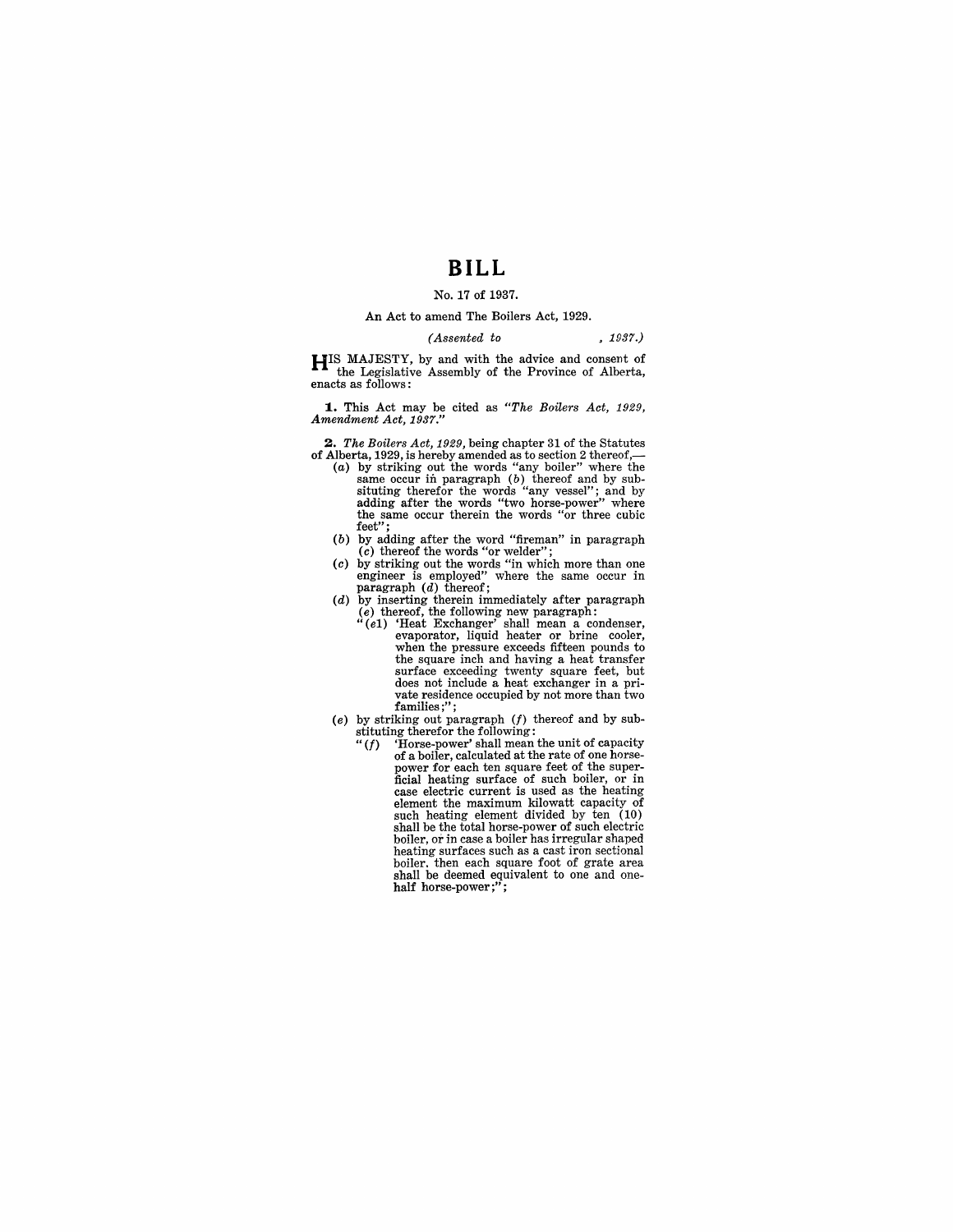# **BILL**

## No. 17 of 1937.

#### An Act to amend The Boilers Act, 1929.

#### *(Assented to* • 1937.)

HIS MAJESTY, by and with the advice and consent of  $\bullet$   $\bullet$  the Legislative Assembly of the Province of Alberta, enacts as follows:

**1.** This Act may be cited as *"The Boilers Act, 1929, Amendment Act, 1937."* 

*2. The Boilers Act,* 1929, being chapter 31 of the Statutes of Alberta, 1929, is hereby amended as to section 2 thereof,-

- (a) by striking out the words "any boiler" where the same occur in paragraph  $(b)$  thereof and by sub-situting therefor the words "any vessel"; and by adding after the words "two horse-power" where the same occur therein the words "or three cubic feet";
- $(b)$  by adding after the word "fireman" in paragraph
- (c) thereof the words "or welder"; (c) by striking out the words "in which more than one engineer is employed" where the same occur in engineer is employed" where the same occur in paragraph  $(d)$  thereof;
- (d) by inserting therein immediately after paragraph
	- (e) thereof, the following new paragraph: *"(e1)* 'Heat Exchanger' shall mean a condenser, evaporator, liquid heater or brine cooler, when the pressure exceeds fifteen pounds to the square inch and having a heat transfer surface exceeding twenty square feet, but does not include a heat exchanger in a private residence occupied by not more than two families;";
- (e) by striking out paragraph  $(f)$  thereof and by sub
	- stituting therefor the following:<br>" $(f)$  'Horse-power' shall mean "(f) 'Horse-power' shall mean the unit of capacity of a boiler, calculated at the rate of one horsepower for each ten square feet of the super-<br>ficial heating surface of such boiler, or in<br>case electric current is used as the heating<br>element the maximum kilowatt capacity of<br>such heating element divided by ten (10) shall be the total horse-power of such electric boiler, or in case a boiler has irregular shaped heating surfaces such as a cast iron sectional<br>boiler, then each square foot of grate area boiler. then each square foot of grace area shall be deemed equivalent to one and one-<br>half horse-power;";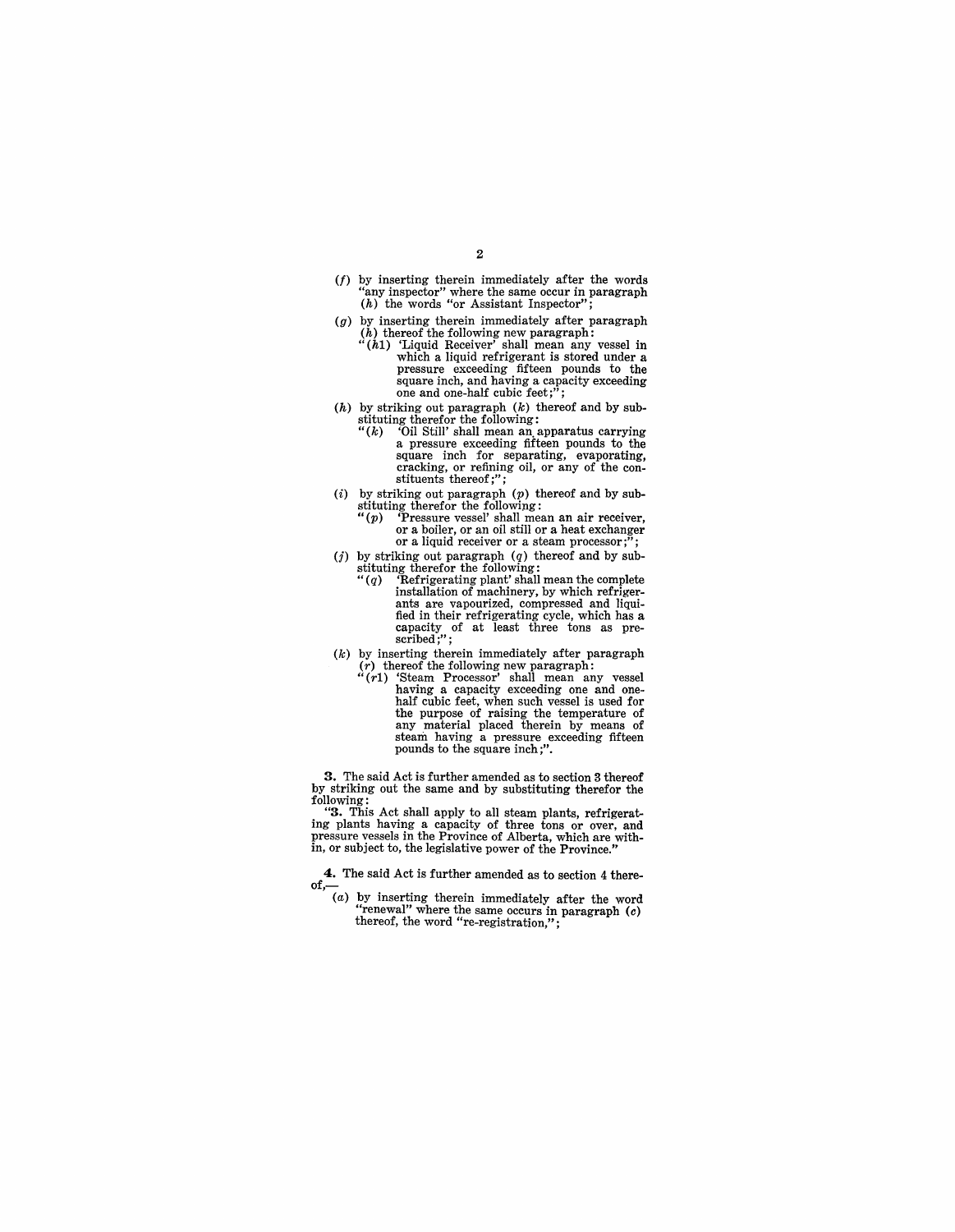- (f) by inserting therein immediately after the words "any inspector" where the same occur in paragraph (h) the words "or Assistant Inspector";
- $(g)$  by inserting therein immediately after paragraph  $(h)$  thereof the following new paragraph:<br>" $(h1)$  'Liquid Receiver' shall mean any vessel in
	- which a liquid refrigerant is stored under a pressure exceeding fifteen pounds to the pressure exceeding fifteen pounds to the square inch, and having a capacity exceeding one and one-half cubic feet;";
- $(h)$  by striking out paragraph  $(k)$  thereof and by substituting therefor the following:<br>" $(k)$  "Oil Still' shall mean an apparatus carrying
	- a pressure exceeding fifteen pounds to the square inch for separating, evaporating, cracking, or refining oil, or any of the con- stituents thereof;";
- (i) by striking out paragraph  $(p)$  thereof and by substituting therefor the following:<br>" $(p)$  "Pressure vessel' shall mean an air receiver,
	- or a boiler, or an oil still or a heat exchanger<br>or a liquid receiver or a steam processor;";
- (j) by striking out paragraph  $(q)$  thereof and by sub
	- stituting therefor the following:<br>
	"(q) Yefrigerating plant' shall mean the complete<br>
	installation of machinery, by which refrigerants are vapourized, compressed and liquified in their refrigerating cycle, which has a capacity of at least three tons as pre-<br>scribed;";
- $(k)$  by inserting therein immediately after paragraph (r) thereof the following new paragraph: "(rl) 'Steam Processor' shall mean any vessel
	- having a capacity exceeding one and one-<br>half cubic feet, when such vessel is used for<br>the purpose of raising the temperature of any material placed therein by means of steam having a pressure exceeding fifteen pounds to the square inch;".

3. The said Act is further amended as to section 3 thereof by striking out the same and by substituting therefor the following:

"3. This Act shall apply to all steam plants, refrigerating plants having a capacity of three tons or over, and pressure vessels in the Province of Alberta, which are within, or subject to, the legislative power of the Province."

**4.** The said Act is further amended as to section 4 thereof, $\frac{-(a)}{2}$ 

(a) by inserting therein immediately after the word "renewal" where the same occurs in paragraph  $(c)$ thereof, the word "re-registration,";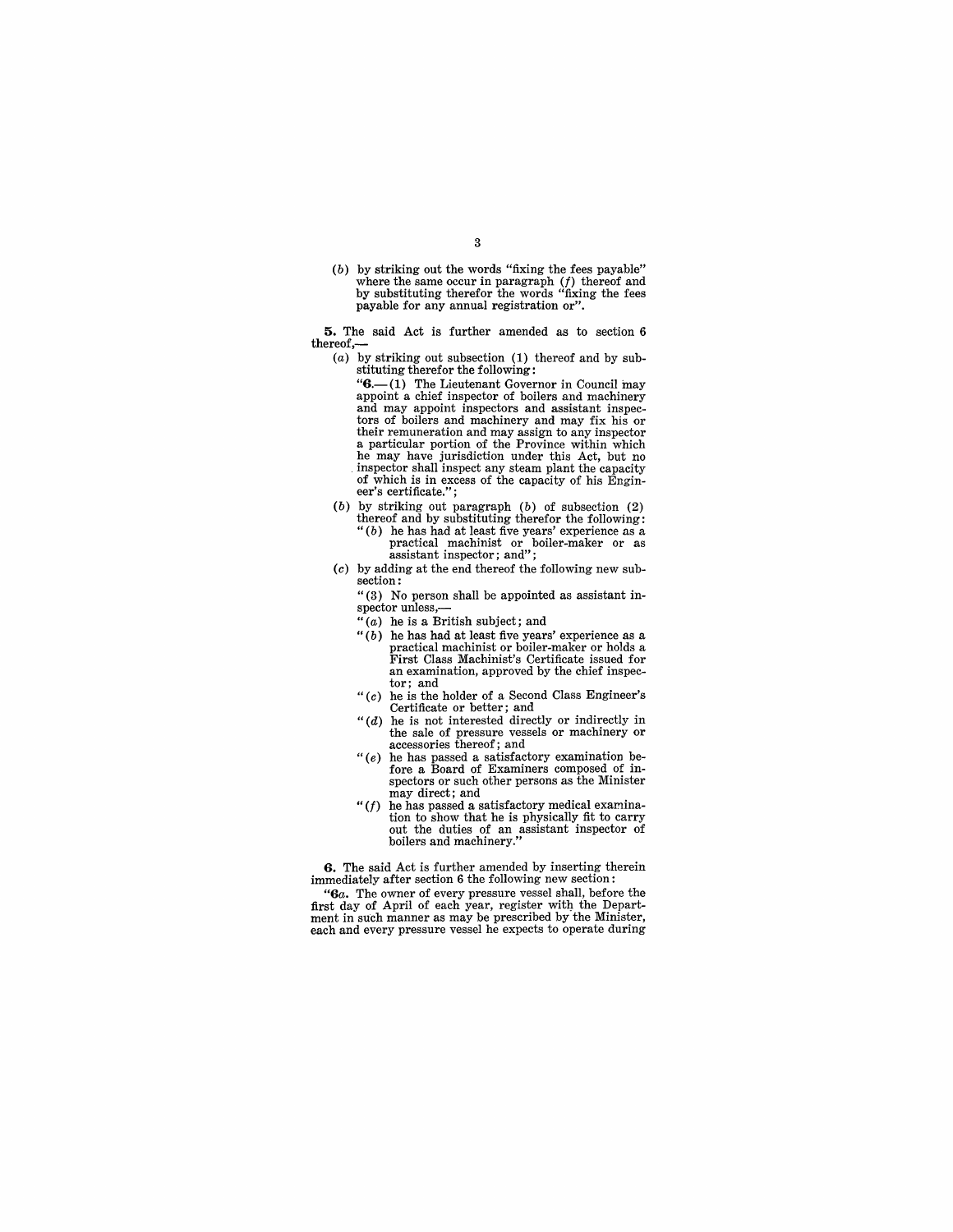(b) by striking out the words "fixing the fees payable" where the same occur in paragraph  $(f)$  thereof and by substituting therefor the words "fixing the fees payable for any annual registration or".

**5.** The said Act is further amended as to section 6 thereof,-

- (a) by striking out subsection  $(1)$  thereof and by substituting therefor the following:
	- " $6$ .-(1) The Lieutenant Governor in Council may appoint a chief inspector of boilers and machinery and may appoint inspectors and assistant inspectors of boilers and machinery and may fix his or their remuneration and may assign to any inspector a particular portion of the Province within which he may have jurisdiction under this Act, but no inspector shall inspect any steam plant the capacity of which is in excess of the capacity of his Engineer's certificate.";
- (b) by striking out paragraph  $(b)$  of subsection  $(2)$ thereof and by substituting therefor the following: " $(b)$  he has had at least five years' experience as a " (b) he has had at least five years' experience as a practical machinist or boiler-maker or as assistant inspector; and";
- (c) by adding at the end thereof the following new subsection:

"(3) No person shall be appointed as assistant inspector unless,

- 
- $(1)$  he is a British subject; and<br> $(1)$  he has had at least five years' experience as a practical machinist or boiler-maker or holds a<br>First Class Machinist's Certificate issued for<br>an examination, approved by the chief inspector; and
- " $(c)$  he is the holder of a Second Class Engineer's Certificate or better; and
- " $(d)$  he is not interested directly or indirectly in the sale of pressure vessels or machinery or accessories thereof; and
- *"(e)* he has passed a satisfactory examination be-fore a Board of Examiners composed of inspectors or such other persons as the Minister may direct; and
- $" (f)$  he has passed a satisfactory medical examination to show that he is physically fit to carry out the duties of an assistant inspector of boilers and machinery."

**6.** The said Act is further amended by inserting therein immediately after section 6 the following new section:

*"Ga.* The owner of every pressure vessel shall, before the first day of April of each year, register with the Department in such manner as may be prescribed by the Minister, each and every pressure vessel he expects to operate during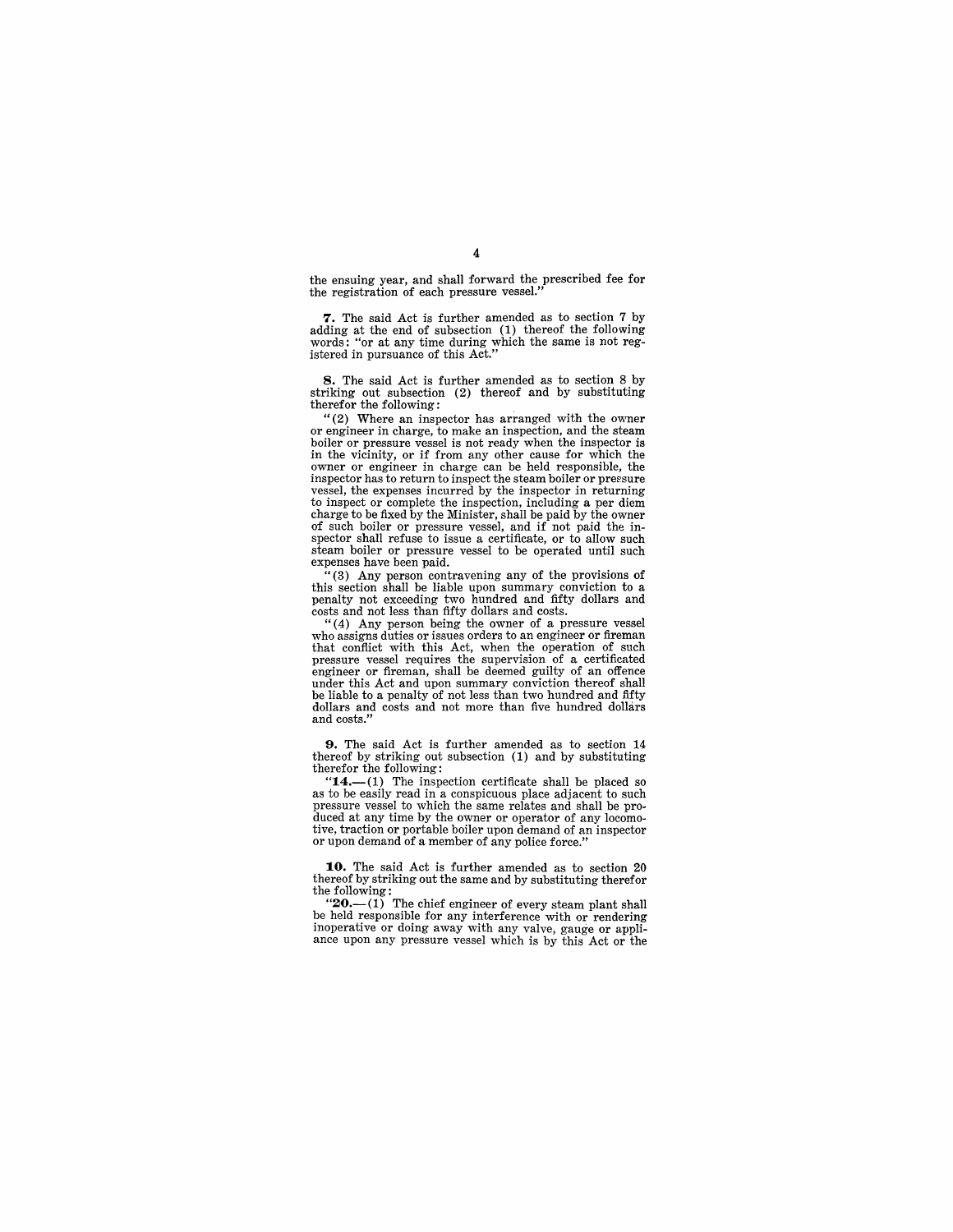the ensuing year, and shall forward the prescribed fee for the registration of each pressure vessel."

7. The said Act is further amended as to section 7 by adding at the end of subsection (1) thereof the following words: "or at any time during which the same is not reg-istered in pursuance of this Act."

**8.** The said Act is further amended as to section 8 by striking out subsection (2) thereof and by substituting therefor the following:<br>"(2) Where an inspector has arranged with the owner"

or engineer in charge, to make an inspection, and the steam boiler or pressure vessel is not ready when the inspector is<br>in the vicinity, or if from any other cause for which the owner or engineer in charge can be held responsible, the inspector has to return to inspect the steam boiler or preesure vessel, the expenses incurred by the inspector in returning to inspect or complete the inspection, including a per diem charge to be fixed by the Minister, shall be paid by the owner of such boiler or pressure vessel, and if not paid the inspector shall refuse to issue a certificate, or to allow such steam boiler or pressure vessel to be operated until such expenses have been paid.

 $(3)$  Any person contravening any of the provisions of this section shall be liable upon summary conviction to a penalty not exceeding two hundred and fifty dollars and costs and not less than fifty dollars and costs.

"(4) Any person being the owner of a pressure vessel who assigns duties or issues orders to an engineer or fireman that conflict with this Act, when the operation of such pressure vessel requires the supervision of a certificated engineer or fireman, shall be deemed guilty of an offence under this Act and upon summary conviction thereof shall be liable to a penalty of not less than two hundred and fifty dollars and costs and not more than five hundred dollars and costs."

**9.** The said Act is further amended as to section 14 thereof by striking out subsection (1) and by substituting therefor the following:<br>
"14.—(1) The inspection certificate shall be placed so

as to be easily read in a conspicuous place adjacent to such pressure vessel to which the same relates and shall be produced at any time by the owner or operator of any locomotive, traction or portable boiler upon demand of an inspector or upon demand of a member of any police force."

**10.** The said Act is further amended as to section 20 thereof by striking out the same and by substituting therefor

the following:<br>
" $20$  - (1) The chief engineer of every steam plant shall be held responsible for any interference with or rendering inoperative or doing away with any valve, gauge or appliance upon any pressure vessel which is by this Act or the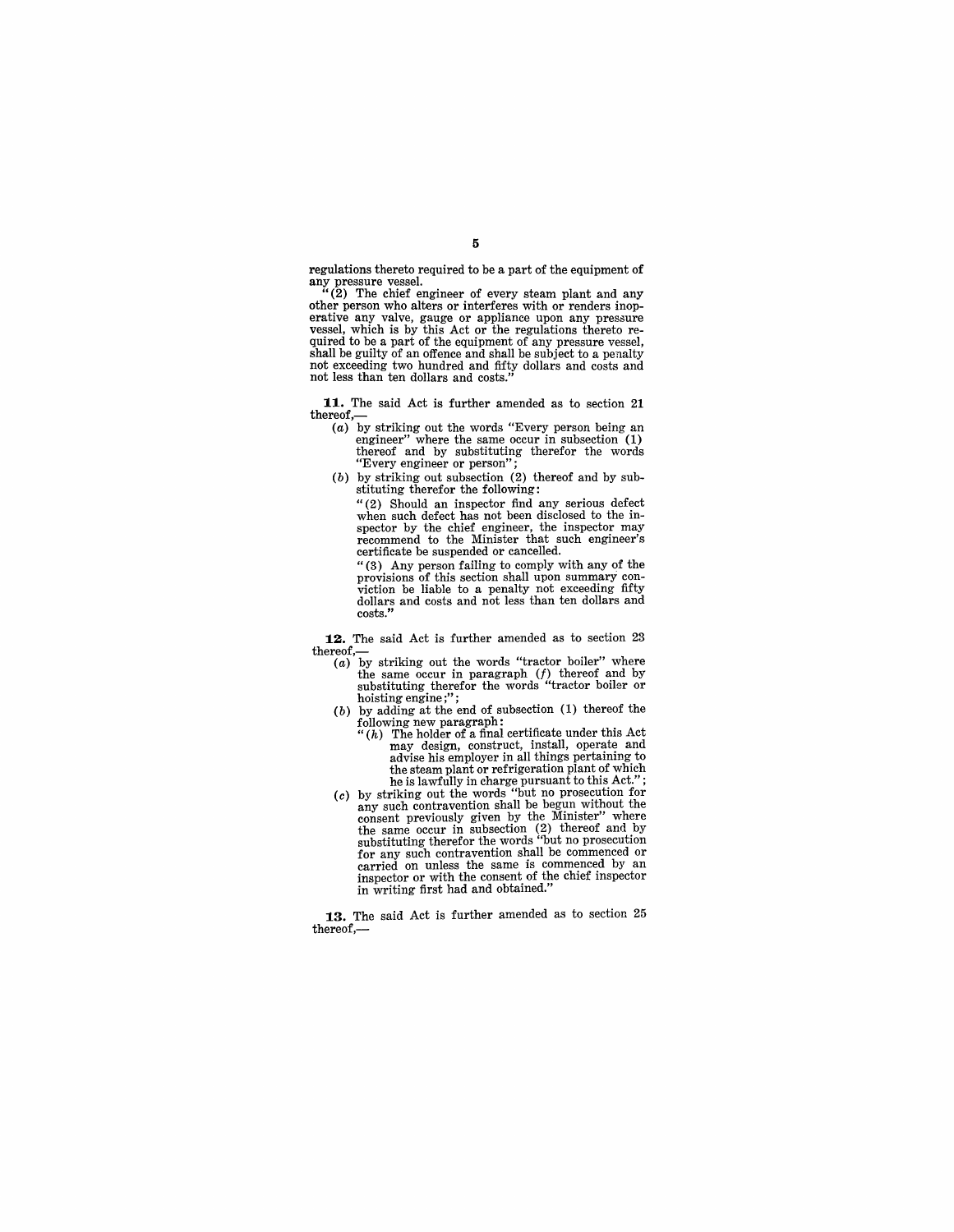regulations thereto required to be a part of the equipment of

any pressure vessel. "(2) The chief engineer of every steam plant and any other person who alters or interferes with or renders inoperative any valve, gauge or appliance upon any pressure vessel, which is by this Act or the regulations thereto required to be a part of the equipment of any pressure vessel, shall be guilty of an offence and shall be subject to a penalty not exceeding two hundred and fifty dollars and costs and not less than ten dollars and costs."

**11.** The said Act is further amended as to section 21 thereof,-

- (a) by striking out the words "Every person being an engineer" where the same occur in subsection  $(1)$ thereof and by substituting therefor the words "Every engineer or person";
- (b) by striking out subsection (2) thereof and by substituting therefor the following:

"(2) Should an inspector find any serious defect when such defect has not been disclosed to the in-spector by the chief engineer, the inspector may recommend to the Minister that such engineer's certificate be suspended or cancelled.

"(3) Any person failing to comply with any of the provisions of this section shall upon summary con-<br>viction be liable to a penalty not exceeding fifty<br>dollars and costs and not less than ten dollars and<br>costs."

**12.** The said Act is further amended as to section 23 thereof,— $(a)$  by striking out the words "tractor boiler" where

- the same occur in paragraph (*f*) thereof and by substituting therefor the words "tractor boiler or hoisting engine;";
- hoisting engine;";<br>(b) by adding at the end of subsection  $(1)$  thereof the following new paragraph:
- $``(h)$  The holder of a final certificate under this Act may design, construct, install, operate and advise his employer in all things pertaining to the steam plant or refrigeration plant of which he is lawfully in charge pursuant to this Act."; (c) by striking out the words "but no prosecution for
- any such contravention shall be begun without the consent previously given by the Minister" where the same occur in subsection (2) thereof and by substituting therefor the words "but no prosecution for any such contravention shall be commenced or carried on unless the same is commenced by an inspector or with the consent of the chief inspector in writing first had and obtained."

**13.** The said Act is further amended as to section 25 thereof,-

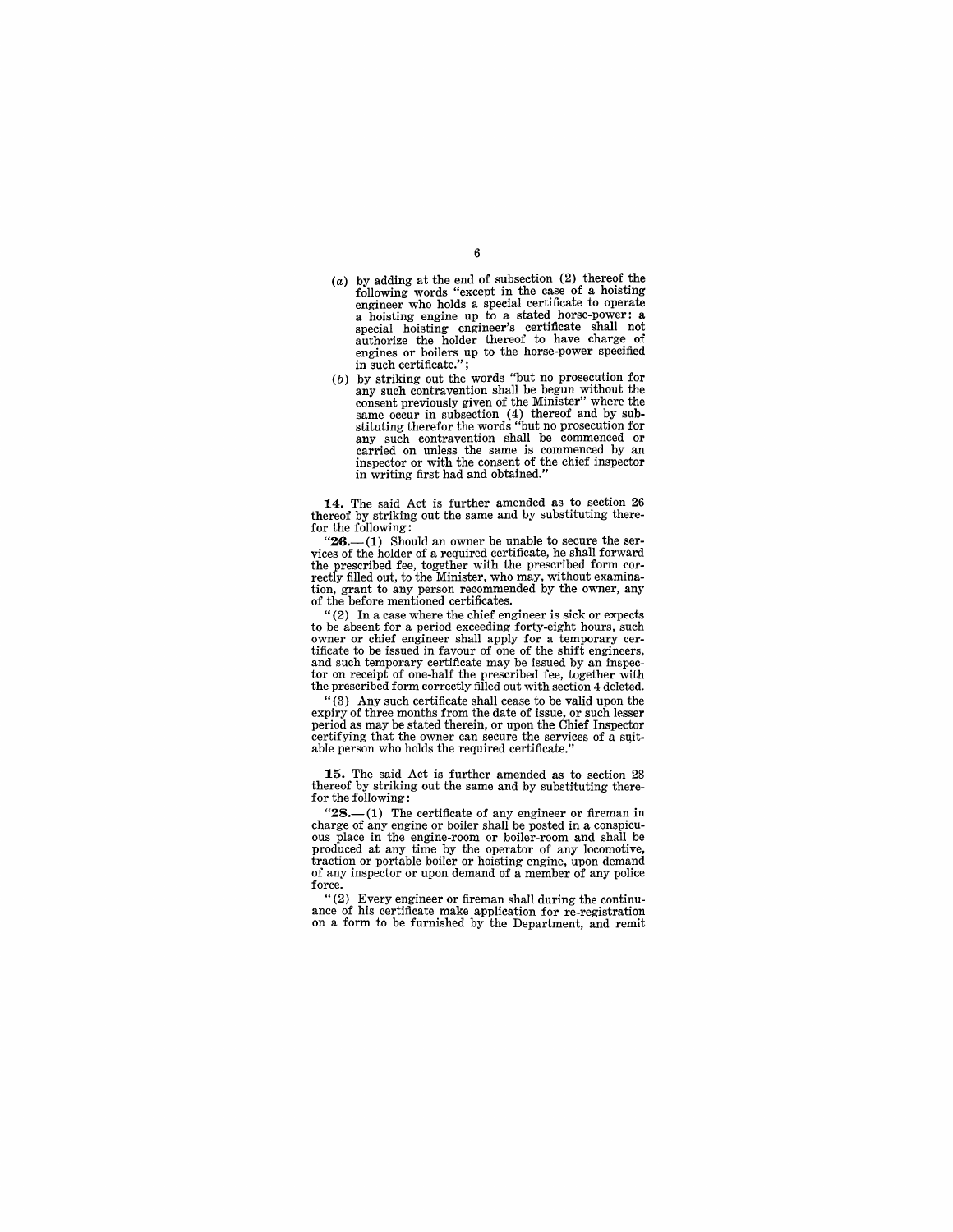- (a) by adding at the end of subsection  $(2)$  thereof the following words "except in the case of a hoisting engineer who holds a special certificate to operate engineer who holds a special certificate to operate a hoisting engine up to a stated horse-power: a special hoisting engineer's certificate shall not authorize the holder thereof to have charge of engines or boilers up to the horse-power specified in such certificate." ;
- (b) by striking out the words "but no prosecution for by such contravention shall be begun without the consent previously given of the Minister" where the consent previously given of the Minister" where the same occur in subsection (4) thereof and by sub-stituting therefor the words "but no prosecution for any such contravention shall be commenced or carried on unless the same is commenced by an inspector or with the consent of the chief inspector in writing first had and obtained."

14. The said Act is further amended as to section 26 thereof by striking out the same and by substituting therefor the following:<br>"26.—(1) Should an owner be unable to secure the ser-<br> $(26 - (1)$  Should an owner be unable to secure the ser-

vices of the holder of a required certificate, he shall forward<br>the prescribed fee, together with the prescribed form corthe prescribed fee, together with the prescribed form correctly filled out, to the Minister, who may, without examination, grant to any person recommended by the owner, any of the before mentioned certificates.

"(2) In a case where the chief engineer is sick or expects to be absent for a period exceeding forty-eight hours, such owner or chief engineer shall apply for a temporary cer- tificate to be issued in favour of one of the shift engineers, and such temporary certificate may be issued by an inspector on receipt of one-half the prescribed fee, together with the prescribed form correctly filled out with section 4 deleted.

"(3) Any such certificate shall cease to be valid upon the expiry of three months from the date of issue, or such lesser period as may be stated therein, or upon the Chief Inspector certifying that the owner can secure the services of a suitable person who holds the required certificate."

**15.** The said Act is further amended as to section 28 thereof by striking out the same and by substituting therefor the following:

" $28$ .—(1) The certificate of any engineer or fireman in charge of any engine or boiler shall be posted in a conspicuous place in the engine-room or boiler-room and shall be produced at any time by the operator of any locomotive, traction or portable boiler or hoisting engine, upon demand of any inspector or upon demand of a member of any police

force.<br>"(2) Every engineer or fireman shall during the continuance of his certificate make application for re-registration on a form to be furnished by the Department, and remit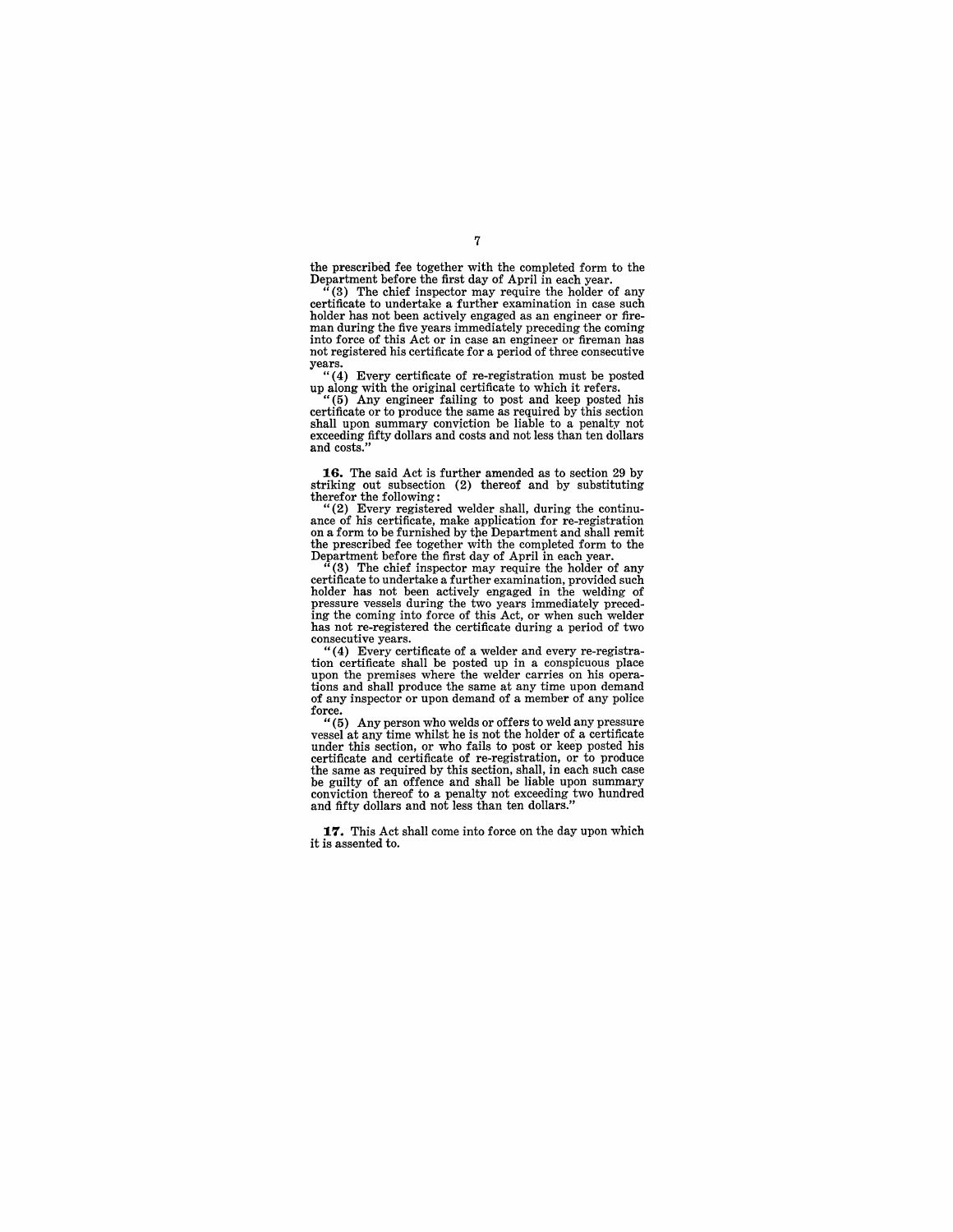the prescribed fee together with the completed form to the Department before the first day of April in each year.

(3) The chief inspector may require the holder of any certificate to undertake a further examination in case such man during the five years immediately preceding the coming into force of this Act or in case an engineer or fireman has not registered his certificate for a period of three consecutive

years.<br>
"(4) Every certificate of re-registration must be posted

up along with the original certificate to which it refers. " (5) Any engineer failing to post and keep posted his certificate or to produce the same as required by this section shall upon summary conviction be liable to a penalty not exceeding fifty dollars and costs and not less than ten dollars and costs.'

**16.** The said Act is further amended as to section 29 by striking out subsection (2) thereof and by substituting therefor the following:

"(2) Every registered welder shall, during the continu- ance of his certificate, make application for re-registration on a form to be furnished by the Department and shall remit the prescribed fee together with the completed form to the Department before the first day of April in each year.

(3) The chief inspector may require the holder of any certificate to undertake a further examination, provided such holder has not been actively engaged in the welding of pressure vessels during the two years immediately preced-ing the coming into force of this Act, or when such welder has not re-registered the certificate during a period of two consecutive years.

"( 4) Every certificate of a welder and every re-registra-tion certificate shall be posted up in a conspicuous place upon the premises where the welder carries on his operations and shall produce the same at any time upon demand of any inspector or upon demand of a member of any police force.<br> $\frac{6}{10}$ 

Any person who welds or offers to weld any pressure vessel at any time whilst he is not the holder of a certificate under this section, or who fails to post or keep posted his certificate and certificate of re-registration, or to produce the same as required by this section, shall, in each such case be guilty of an offence and shall be conviction thereof to a penalty not exceeding two hundred and fifty dollars and not less than ten dollars."

**17.** This Act shall come into force on the day upon which it is assented to.